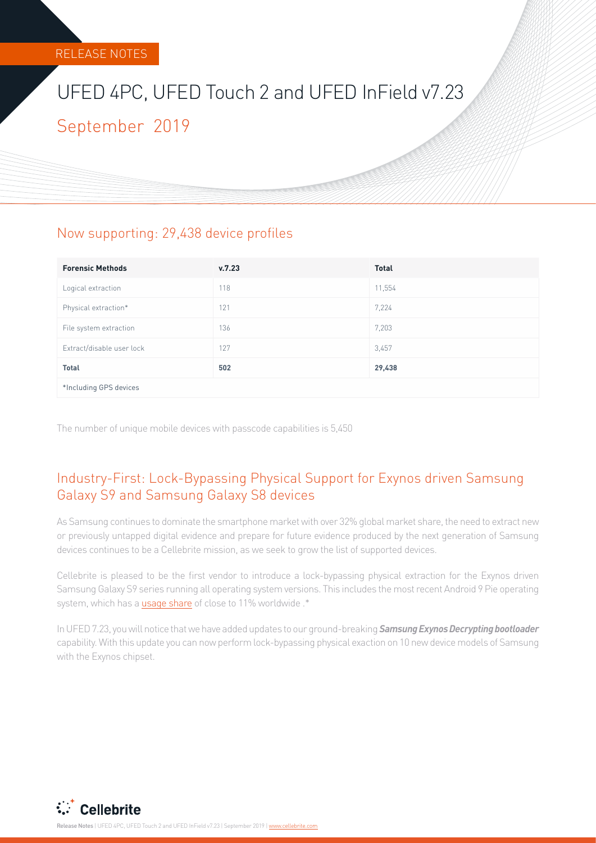# UFED 4PC, UFED Touch 2 and UFED InField v7.23 September 2019

## Now supporting: 29,438 device profiles

| <b>Forensic Methods</b>   | v.7.23 | <b>Total</b> |
|---------------------------|--------|--------------|
| Logical extraction        | 118    | 11,554       |
| Physical extraction*      | 121    | 7,224        |
| File system extraction    | 136    | 7,203        |
| Extract/disable user lock | 127    | 3,457        |
| <b>Total</b>              | 502    | 29,438       |
| *Including GPS devices    |        |              |

The number of unique mobile devices with passcode capabilities is 5,450

# Industry-First: Lock-Bypassing Physical Support for Exynos driven Samsung Galaxy S9 and Samsung Galaxy S8 devices

As Samsung continues to dominate the smartphone market with over 32% global market share, the need to extract new or previously untapped digital evidence and prepare for future evidence produced by the next generation of Samsung devices continues to be a Cellebrite mission, as we seek to grow the list of supported devices.

Cellebrite is pleased to be the first vendor to introduce a lock-bypassing physical extraction for the Exynos driven Samsung Galaxy S9 series running all operating system versions. This includes the most recent Android 9 Pie operating system, which has a [usage share](https://fossbytes.com/most-popular-android-versions-always-updated/) of close to 11% worldwide .\*

In UFED 7.23, you will notice that we have added updates to our ground-breaking *Samsung Exynos Decrypting bootloader* capability. With this update you can now perform lock-bypassing physical exaction on 10 new device models of Samsung with the Exynos chipset.



Release Notes | UFED 4PC, UFED Touch 2 and UFED InField v7.23 | September 2019 | [www.cellebrite.com](http://www.cellebrite.com)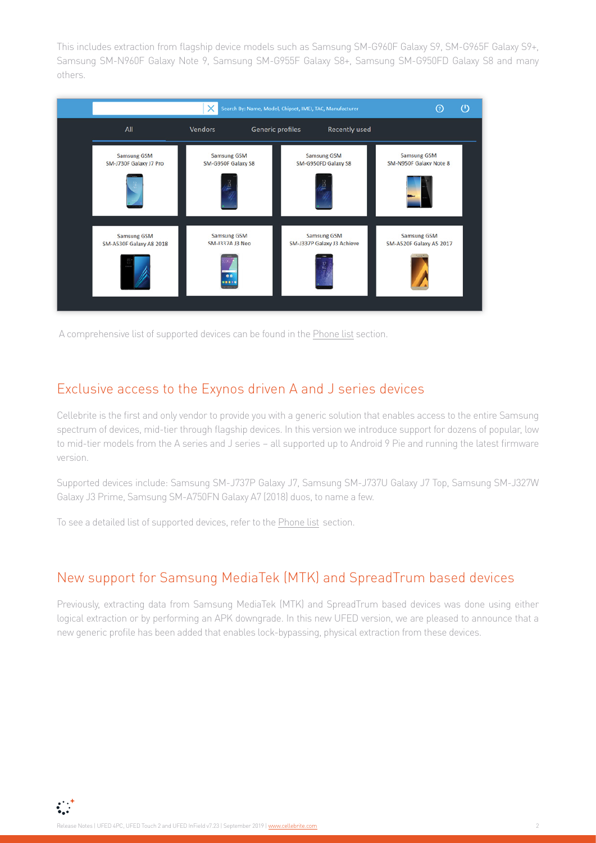This includes extraction from flagship device models such as Samsung SM-G960F Galaxy S9, SM-G965F Galaxy S9+, Samsung SM-N960F Galaxy Note 9, Samsung SM-G955F Galaxy S8+, Samsung SM-G950FD Galaxy S8 and many others.



A comprehensive list of supported devices can be found in the [Phone list](#page-4-0) section.

#### Exclusive access to the Exynos driven A and J series devices

Cellebrite is the first and only vendor to provide you with a generic solution that enables access to the entire Samsung spectrum of devices, mid-tier through flagship devices. In this version we introduce support for dozens of popular, low to mid-tier models from the A series and J series – all supported up to Android 9 Pie and running the latest firmware version.

Supported devices include: Samsung SM-J737P Galaxy J7, Samsung SM-J737U Galaxy J7 Top, Samsung SM-J327W Galaxy J3 Prime, Samsung SM-A750FN Galaxy A7 (2018) duos, to name a few.

To see a detailed list of supported devices, refer to the [Phone list](#page-4-0)section.

#### New support for Samsung MediaTek (MTK) and SpreadTrum based devices

Previously, extracting data from Samsung MediaTek (MTK) and SpreadTrum based devices was done using either logical extraction or by performing an APK downgrade. In this new UFED version, we are pleased to announce that a new generic profile has been added that enables lock-bypassing, physical extraction from these devices.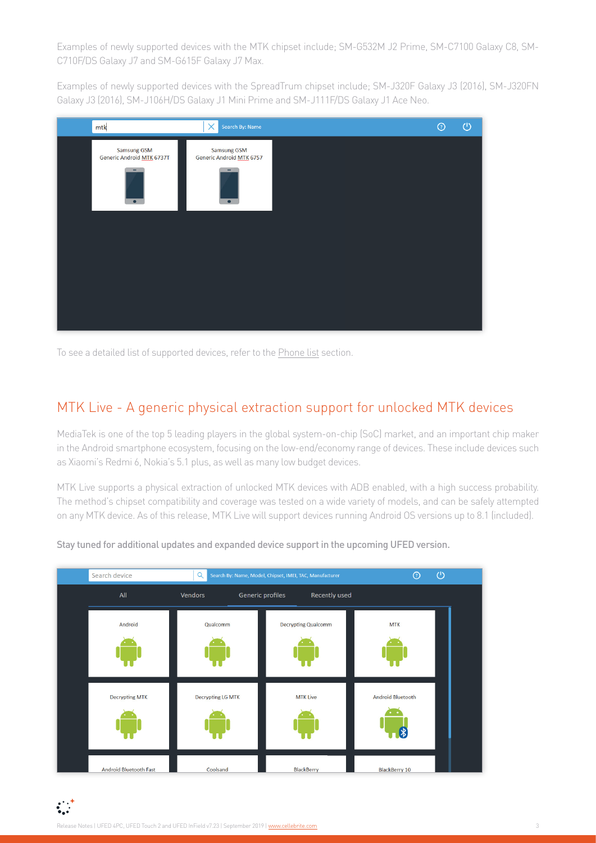Examples of newly supported devices with the MTK chipset include; SM-G532M J2 Prime, SM-C7100 Galaxy C8, SM-C710F/DS Galaxy J7 and SM-G615F Galaxy J7 Max.

Examples of newly supported devices with the SpreadTrum chipset include; SM-J320F Galaxy J3 (2016), SM-J320FN Galaxy J3 (2016), SM-J106H/DS Galaxy J1 Mini Prime and SM-J111F/DS Galaxy J1 Ace Neo.



To see a detailed list of supported devices, refer to the [Phone list](#page-4-0) section.

#### MTK Live - A generic physical extraction support for unlocked MTK devices

MediaTek is one of the top 5 leading players in the global system-on-chip (SoC) market, and an important chip maker in the Android smartphone ecosystem, focusing on the low-end/economy range of devices. These include devices such as Xiaomi's Redmi 6, Nokia's 5.1 plus, as well as many low budget devices.

MTK Live supports a physical extraction of unlocked MTK devices with ADB enabled, with a high success probability. The method's chipset compatibility and coverage was tested on a wide variety of models, and can be safely attempted on any MTK device. As of this release, MTK Live will support devices running Android OS versions up to 8.1 (included).



Stay tuned for additional updates and expanded device support in the upcoming UFED version.

 $\sum_{i=1}^{n}$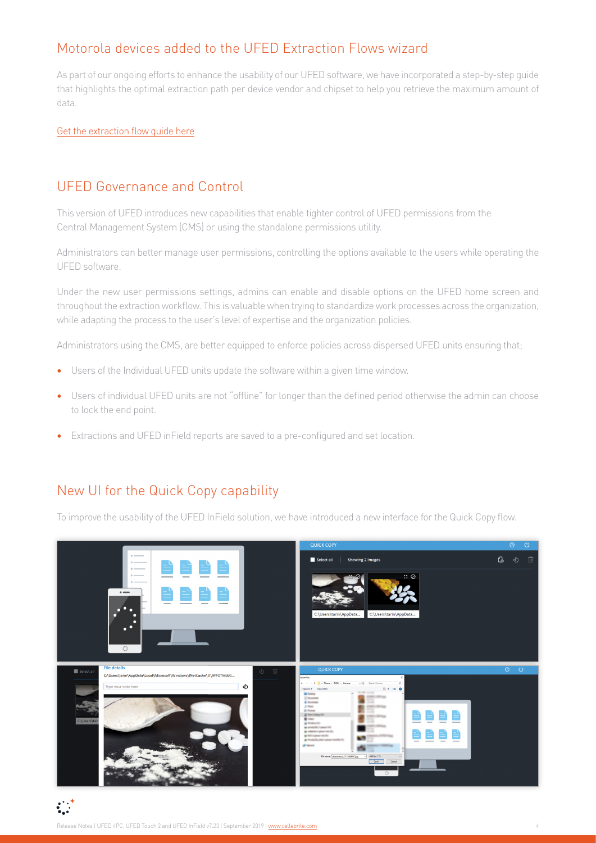# Motorola devices added to the UFED Extraction Flows wizard

As part of our ongoing efforts to enhance the usability of our UFED software, we have incorporated a step-by-step guide that highlights the optimal extraction path per device vendor and chipset to help you retrieve the maximum amount of data.

[Get the extraction flow guide here](https://www.cellebrite.com/en/insights/ufed-step-by-step-guide-to-android-extractions/)

### UFED Governance and Control

This version of UFED introduces new capabilities that enable tighter control of UFED permissions from the Central Management System (CMS) or using the standalone permissions utility.

Administrators can better manage user permissions, controlling the options available to the users while operating the UFED software.

Under the new user permissions settings, admins can enable and disable options on the UFED home screen and throughout the extraction workflow. This is valuable when trying to standardize work processes across the organization, while adapting the process to the user's level of expertise and the organization policies.

Administrators using the CMS, are better equipped to enforce policies across dispersed UFED units ensuring that;

- **•** Users of the Individual UFED units update the software within a given time window.
- **•** Users of individual UFED units are not "offline" for longer than the defined period otherwise the admin can choose to lock the end point.
- **•** Extractions and UFED inField reports are saved to a pre-configured and set location.

# New UI for the Quick Copy capability

To improve the usability of the UFED InField solution, we have introduced a new interface for the Quick Copy flow.

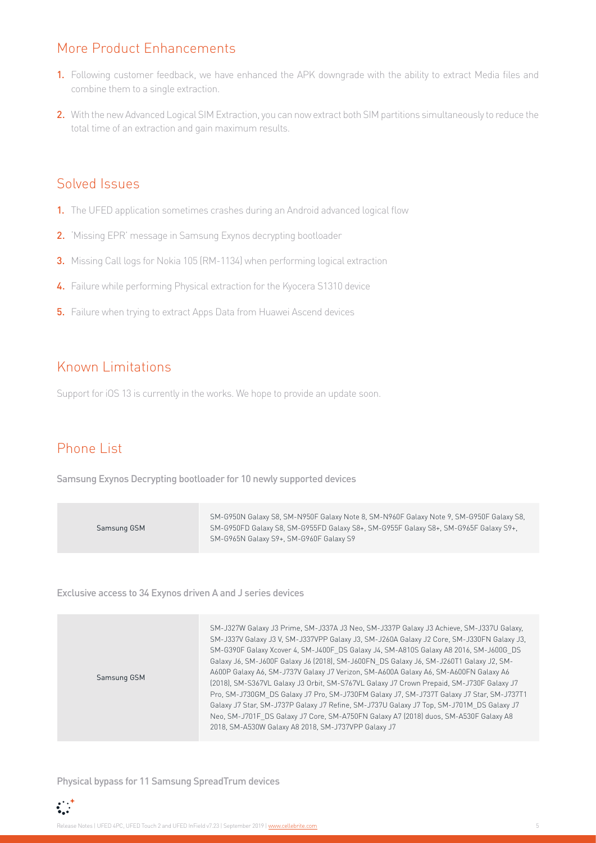# <span id="page-4-0"></span>More Product Enhancements

- 1. Following customer feedback, we have enhanced the APK downgrade with the ability to extract Media files and combine them to a single extraction.
- 2. With the new Advanced Logical SIM Extraction, you can now extract both SIM partitions simultaneously to reduce the total time of an extraction and gain maximum results.

#### Solved Issues

- 1. The UFED application sometimes crashes during an Android advanced logical flow
- 2. 'Missing EPR' message in Samsung Exynos decrypting bootloader
- **3.** Missing Call logs for Nokia 105 (RM-1134) when performing logical extraction
- 4. Failure while performing Physical extraction for the Kyocera S1310 device
- **5.** Failure when trying to extract Apps Data from Huawei Ascend devices

## Known Limitations

Support for iOS 13 is currently in the works. We hope to provide an update soon.

# Phone List

Samsung Exynos Decrypting bootloader for 10 newly supported devices

| Samsung GSM | SM-G950N Galaxy S8, SM-N950F Galaxy Note 8, SM-N960F Galaxy Note 9, SM-G950F Galaxy S8,<br>SM-G950FD Galaxy S8, SM-G955FD Galaxy S8+, SM-G955F Galaxy S8+, SM-G965F Galaxy S9+,<br>SM-G965N Galaxy S9+, SM-G960F Galaxy S9 |
|-------------|----------------------------------------------------------------------------------------------------------------------------------------------------------------------------------------------------------------------------|
|-------------|----------------------------------------------------------------------------------------------------------------------------------------------------------------------------------------------------------------------------|

Exclusive access to 34 Exynos driven A and J series devices

| Samsung GSM | SM-J327W Galaxy J3 Prime, SM-J337A J3 Neo, SM-J337P Galaxy J3 Achieve, SM-J337U Galaxy,<br>SM-J337V Galaxy J3 V, SM-J337VPP Galaxy J3, SM-J260A Galaxy J2 Core, SM-J330FN Galaxy J3,<br>SM-G390F Galaxy Xcover 4, SM-J400F DS Galaxy J4, SM-A810S Galaxy A8 2016, SM-J600G DS<br>Galaxy J6, SM-J600F Galaxy J6 (2018), SM-J600FN DS Galaxy J6, SM-J260T1 Galaxy J2, SM-<br>A600P Galaxy A6, SM-J737V Galaxy J7 Verizon, SM-A600A Galaxy A6, SM-A600FN Galaxy A6<br>[2018], SM-S367VL Galaxy J3 Orbit, SM-S767VL Galaxy J7 Crown Prepaid, SM-J730F Galaxy J7<br>Pro, SM-J730GM DS Galaxy J7 Pro, SM-J730FM Galaxy J7, SM-J737T Galaxy J7 Star, SM-J737T1<br>Galaxy J7 Star, SM-J737P Galaxy J7 Refine, SM-J737U Galaxy J7 Top, SM-J701M_DS Galaxy J7<br>Neo, SM-J701F DS Galaxy J7 Core, SM-A750FN Galaxy A7 (2018) duos, SM-A530F Galaxy A8<br>2018, SM-A530W Galaxy A8 2018, SM-J737VPP Galaxy J7 |
|-------------|----------------------------------------------------------------------------------------------------------------------------------------------------------------------------------------------------------------------------------------------------------------------------------------------------------------------------------------------------------------------------------------------------------------------------------------------------------------------------------------------------------------------------------------------------------------------------------------------------------------------------------------------------------------------------------------------------------------------------------------------------------------------------------------------------------------------------------------------------------------------------------------------------|
|-------------|----------------------------------------------------------------------------------------------------------------------------------------------------------------------------------------------------------------------------------------------------------------------------------------------------------------------------------------------------------------------------------------------------------------------------------------------------------------------------------------------------------------------------------------------------------------------------------------------------------------------------------------------------------------------------------------------------------------------------------------------------------------------------------------------------------------------------------------------------------------------------------------------------|

Physical bypass for 11 Samsung SpreadTrum devices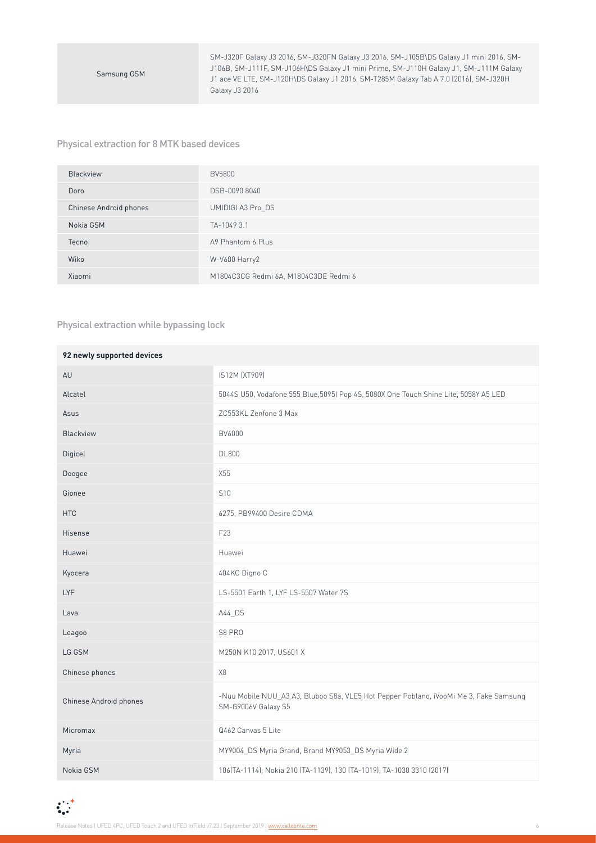SM-J320F Galaxy J3 2016, SM-J320FN Galaxy J3 2016, SM-J105B\DS Galaxy J1 mini 2016, SM-J106B, SM-J111F, SM-J106H\DS Galaxy J1 mini Prime, SM-J110H Galaxy J1, SM-J111M Galaxy J1 ace VE LTE, SM-J120H\DS Galaxy J1 2016, SM-T285M Galaxy Tab A 7.0 (2016), SM-J320H Galaxy J3 2016

#### Physical extraction for 8 MTK based devices

| Blackview              | <b>BV5800</b>                         |
|------------------------|---------------------------------------|
| Doro                   | DSB-0090 8040                         |
| Chinese Android phones | UMIDIGI A3 Pro DS                     |
| Nokia GSM              | TA-1049 3.1                           |
| Tecno                  | A9 Phantom 6 Plus                     |
| Wiko                   | W-V600 Harry2                         |
| Xiaomi                 | M1804C3CG Redmi 6A, M1804C3DE Redmi 6 |

#### Physical extraction while bypassing lock

| 92 newly supported devices |                                                                                                              |
|----------------------------|--------------------------------------------------------------------------------------------------------------|
| AU                         | IS12M (XT909)                                                                                                |
| Alcatel                    | 5044S U50, Vodafone 555 Blue, 5095I Pop 4S, 5080X One Touch Shine Lite, 5058Y A5 LED                         |
| Asus                       | ZC553KL Zenfone 3 Max                                                                                        |
| Blackview                  | BV6000                                                                                                       |
| Digicel                    | <b>DL800</b>                                                                                                 |
| Doogee                     | X55                                                                                                          |
| Gionee                     | S <sub>10</sub>                                                                                              |
| <b>HTC</b>                 | 6275, PB99400 Desire CDMA                                                                                    |
| Hisense                    | F23                                                                                                          |
| Huawei                     | Huawei                                                                                                       |
| Kyocera                    | 404KC Digno C                                                                                                |
| <b>LYF</b>                 | LS-5501 Earth 1, LYF LS-5507 Water 7S                                                                        |
| Lava                       | A44_DS                                                                                                       |
| Leagoo                     | S8 PRO                                                                                                       |
| LG GSM                     | M250N K10 2017, US601 X                                                                                      |
| Chinese phones             | X8                                                                                                           |
| Chinese Android phones     | -Nuu Mobile NUU_A3 A3, Bluboo S8a, VLE5 Hot Pepper Poblano, iVooMi Me 3, Fake Samsung<br>SM-G9006V Galaxy S5 |
| Micromax                   | Q462 Canvas 5 Lite                                                                                           |
| Myria                      | MY9004_DS Myria Grand, Brand MY9053_DS Myria Wide 2                                                          |
| Nokia GSM                  | 106(TA-1114), Nokia 210 (TA-1139), 130 (TA-1019), TA-1030 3310 (2017)                                        |

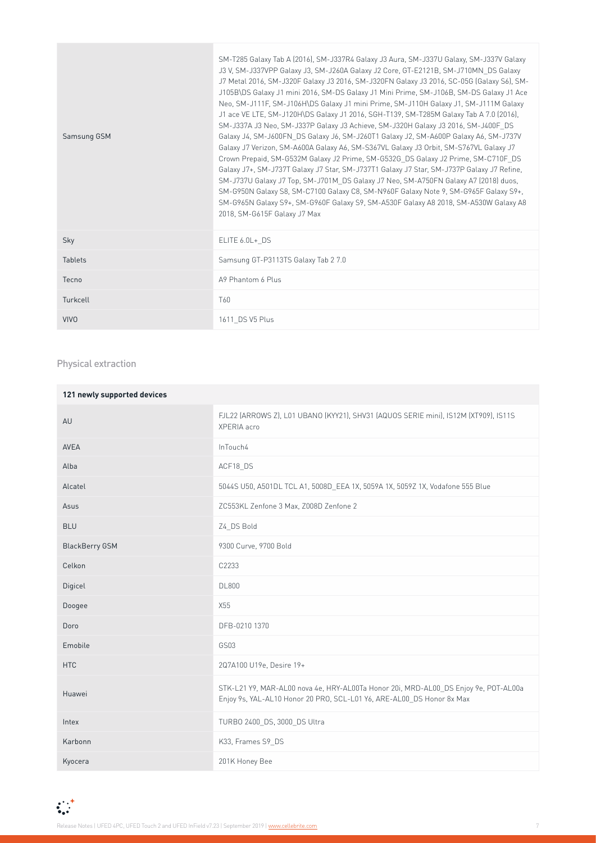| Samsung GSM    | SM-T285 Galaxy Tab A (2016), SM-J337R4 Galaxy J3 Aura, SM-J337U Galaxy, SM-J337V Galaxy<br>J3 V, SM-J337VPP Galaxy J3, SM-J260A Galaxy J2 Core, GT-E2121B, SM-J710MN DS Galaxy<br>J7 Metal 2016, SM-J320F Galaxy J3 2016, SM-J320FN Galaxy J3 2016, SC-05G (Galaxy S6), SM-<br>J105B\DS Galaxy J1 mini 2016, SM-DS Galaxy J1 Mini Prime, SM-J106B, SM-DS Galaxy J1 Ace<br>Neo, SM-J111F, SM-J106H\DS Galaxy J1 mini Prime, SM-J110H Galaxy J1, SM-J111M Galaxy<br>J1 ace VE LTE, SM-J120H\DS Galaxy J1 2016, SGH-T139, SM-T285M Galaxy Tab A 7.0 (2016),<br>SM-J337A J3 Neo, SM-J337P Galaxy J3 Achieve, SM-J320H Galaxy J3 2016, SM-J400F DS<br>Galaxy J4, SM-J600FN DS Galaxy J6, SM-J260T1 Galaxy J2, SM-A600P Galaxy A6, SM-J737V<br>Galaxy J7 Verizon, SM-A600A Galaxy A6, SM-S367VL Galaxy J3 Orbit, SM-S767VL Galaxy J7<br>Crown Prepaid, SM-G532M Galaxy J2 Prime, SM-G532G DS Galaxy J2 Prime, SM-C710F DS<br>Galaxy J7+, SM-J737T Galaxy J7 Star, SM-J737T1 Galaxy J7 Star, SM-J737P Galaxy J7 Refine,<br>SM-J737U Galaxy J7 Top, SM-J701M DS Galaxy J7 Neo, SM-A750FN Galaxy A7 (2018) duos,<br>SM-G950N Galaxy S8, SM-C7100 Galaxy C8, SM-N960F Galaxy Note 9, SM-G965F Galaxy S9+,<br>SM-G965N Galaxy S9+, SM-G960F Galaxy S9, SM-A530F Galaxy A8 2018, SM-A530W Galaxy A8<br>2018, SM-G615F Galaxy J7 Max |
|----------------|-------------------------------------------------------------------------------------------------------------------------------------------------------------------------------------------------------------------------------------------------------------------------------------------------------------------------------------------------------------------------------------------------------------------------------------------------------------------------------------------------------------------------------------------------------------------------------------------------------------------------------------------------------------------------------------------------------------------------------------------------------------------------------------------------------------------------------------------------------------------------------------------------------------------------------------------------------------------------------------------------------------------------------------------------------------------------------------------------------------------------------------------------------------------------------------------------------------------------------------------------------------------------------------------------------------------------|
| Sky            | ELITE 6.0L+ DS                                                                                                                                                                                                                                                                                                                                                                                                                                                                                                                                                                                                                                                                                                                                                                                                                                                                                                                                                                                                                                                                                                                                                                                                                                                                                                          |
| <b>Tablets</b> | Samsung GT-P3113TS Galaxy Tab 2 7.0                                                                                                                                                                                                                                                                                                                                                                                                                                                                                                                                                                                                                                                                                                                                                                                                                                                                                                                                                                                                                                                                                                                                                                                                                                                                                     |
| Tecno          | A9 Phantom 6 Plus                                                                                                                                                                                                                                                                                                                                                                                                                                                                                                                                                                                                                                                                                                                                                                                                                                                                                                                                                                                                                                                                                                                                                                                                                                                                                                       |
| Turkcell       | T60                                                                                                                                                                                                                                                                                                                                                                                                                                                                                                                                                                                                                                                                                                                                                                                                                                                                                                                                                                                                                                                                                                                                                                                                                                                                                                                     |
| <b>VIVO</b>    | 1611 DS V5 Plus                                                                                                                                                                                                                                                                                                                                                                                                                                                                                                                                                                                                                                                                                                                                                                                                                                                                                                                                                                                                                                                                                                                                                                                                                                                                                                         |

#### Physical extraction

| 121 newly supported devices |                                                                                                                                                              |
|-----------------------------|--------------------------------------------------------------------------------------------------------------------------------------------------------------|
| AU                          | FJL22 (ARROWS Z), L01 UBANO (KYY21), SHV31 (AQUOS SERIE mini), IS12M (XT909), IS11S<br>XPERIA acro                                                           |
| <b>AVEA</b>                 | InTouch4                                                                                                                                                     |
| Alba                        | ACF18_DS                                                                                                                                                     |
| Alcatel                     | 5044S U50, A501DL TCL A1, 5008D EEA 1X, 5059A 1X, 5059Z 1X, Vodafone 555 Blue                                                                                |
| Asus                        | ZC553KL Zenfone 3 Max, Z008D Zenfone 2                                                                                                                       |
| <b>BLU</b>                  | Z4 DS Bold                                                                                                                                                   |
| <b>BlackBerry GSM</b>       | 9300 Curve, 9700 Bold                                                                                                                                        |
| Celkon                      | C2233                                                                                                                                                        |
| Digicel                     | <b>DL800</b>                                                                                                                                                 |
| Doogee                      | X55                                                                                                                                                          |
| Doro                        | DFB-0210 1370                                                                                                                                                |
| Emobile                     | GS03                                                                                                                                                         |
| <b>HTC</b>                  | 2Q7A100 U19e, Desire 19+                                                                                                                                     |
| Huawei                      | STK-L21 Y9, MAR-AL00 nova 4e, HRY-AL00Ta Honor 20i, MRD-AL00_DS Enjoy 9e, POT-AL00a<br>Enjoy 9s, YAL-AL10 Honor 20 PRO, SCL-L01 Y6, ARE-AL00_DS Honor 8x Max |
| Intex                       | TURBO 2400_DS, 3000_DS Ultra                                                                                                                                 |
| Karbonn                     | K33, Frames S9_DS                                                                                                                                            |
| Kyocera                     | 201K Honey Bee                                                                                                                                               |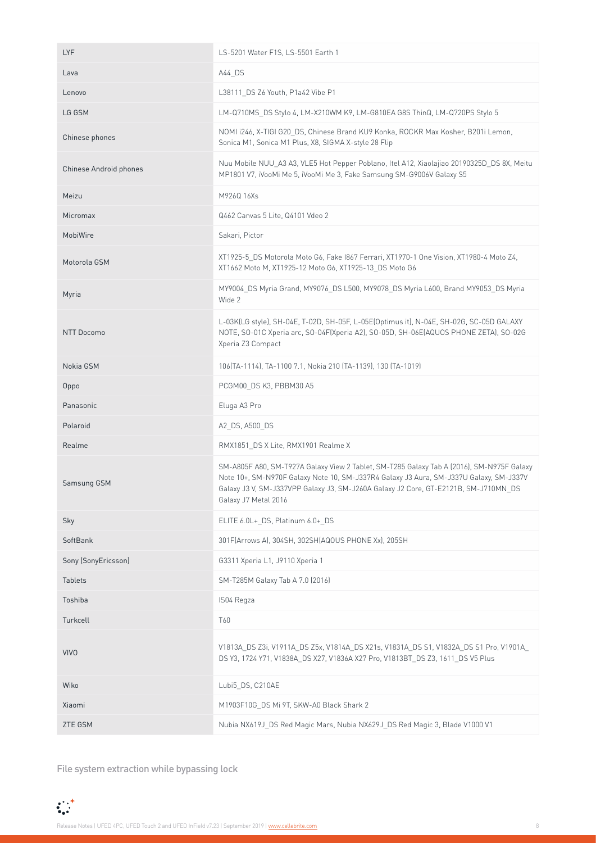| <b>LYF</b>             | LS-5201 Water F1S, LS-5501 Earth 1                                                                                                                                                                                                                                                                 |
|------------------------|----------------------------------------------------------------------------------------------------------------------------------------------------------------------------------------------------------------------------------------------------------------------------------------------------|
| Lava                   | A44 DS                                                                                                                                                                                                                                                                                             |
| Lenovo                 | L38111 DS Z6 Youth, P1a42 Vibe P1                                                                                                                                                                                                                                                                  |
| LG GSM                 | LM-Q710MS DS Stylo 4, LM-X210WM K9, LM-G810EA G8S ThinQ, LM-Q720PS Stylo 5                                                                                                                                                                                                                         |
| Chinese phones         | NOMI i246, X-TIGI G20 DS, Chinese Brand KU9 Konka, ROCKR Max Kosher, B201i Lemon,<br>Sonica M1, Sonica M1 Plus, X8, SIGMA X-style 28 Flip                                                                                                                                                          |
| Chinese Android phones | Nuu Mobile NUU_A3 A3, VLE5 Hot Pepper Poblano, Itel A12, Xiaolajiao 20190325D_DS 8X, Meitu<br>MP1801 V7, iVooMi Me 5, iVooMi Me 3, Fake Samsung SM-G9006V Galaxy S5                                                                                                                                |
| Meizu                  | M926Q 16Xs                                                                                                                                                                                                                                                                                         |
| Micromax               | Q462 Canvas 5 Lite, Q4101 Vdeo 2                                                                                                                                                                                                                                                                   |
| MobiWire               | Sakari, Pictor                                                                                                                                                                                                                                                                                     |
| Motorola GSM           | XT1925-5 DS Motorola Moto G6, Fake I867 Ferrari, XT1970-1 One Vision, XT1980-4 Moto Z4,<br>XT1662 Moto M, XT1925-12 Moto G6, XT1925-13_DS Moto G6                                                                                                                                                  |
| Myria                  | MY9004_DS Myria Grand, MY9076_DS L500, MY9078_DS Myria L600, Brand MY9053_DS Myria<br>Wide 2                                                                                                                                                                                                       |
| NTT Docomo             | L-03K(LG style), SH-04E, T-02D, SH-05F, L-05E(Optimus it), N-04E, SH-02G, SC-05D GALAXY<br>NOTE, SO-01C Xperia arc, SO-04F(Xperia A2), SO-05D, SH-06E(AQUOS PHONE ZETA), SO-02G<br>Xperia Z3 Compact                                                                                               |
| Nokia GSM              | 106(TA-1114), TA-1100 7.1, Nokia 210 (TA-1139), 130 (TA-1019)                                                                                                                                                                                                                                      |
| Oppo                   | PCGM00_DS K3, PBBM30 A5                                                                                                                                                                                                                                                                            |
| Panasonic              | Eluga A3 Pro                                                                                                                                                                                                                                                                                       |
| Polaroid               | A2_DS, A500_DS                                                                                                                                                                                                                                                                                     |
| Realme                 | RMX1851_DS X Lite, RMX1901 Realme X                                                                                                                                                                                                                                                                |
| Samsung GSM            | SM-A805F A80, SM-T927A Galaxy View 2 Tablet, SM-T285 Galaxy Tab A (2016), SM-N975F Galaxy<br>Note 10+, SM-N970F Galaxy Note 10, SM-J337R4 Galaxy J3 Aura, SM-J337U Galaxy, SM-J337V<br>Galaxy J3 V, SM-J337VPP Galaxy J3, SM-J260A Galaxy J2 Core, GT-E2121B, SM-J710MN_DS<br>Galaxy J7 Metal 2016 |
| Sky                    | ELITE 6.0L+_DS, Platinum 6.0+_DS                                                                                                                                                                                                                                                                   |
| SoftBank               | 301F(Arrows A), 304SH, 302SH(AQOUS PHONE Xx), 205SH                                                                                                                                                                                                                                                |
| Sony (SonyEricsson)    | G3311 Xperia L1, J9110 Xperia 1                                                                                                                                                                                                                                                                    |
| <b>Tablets</b>         | SM-T285M Galaxy Tab A 7.0 (2016)                                                                                                                                                                                                                                                                   |
| Toshiba                | IS04 Regza                                                                                                                                                                                                                                                                                         |
| Turkcell               | T60                                                                                                                                                                                                                                                                                                |
| <b>VIVO</b>            | V1813A_DS Z3i, V1911A_DS Z5x, V1814A_DS X21s, V1831A_DS S1, V1832A_DS S1 Pro, V1901A_<br>DS Y3, 1724 Y71, V1838A_DS X27, V1836A X27 Pro, V1813BT_DS Z3, 1611_DS V5 Plus                                                                                                                            |
| Wiko                   | Lubi5 DS, C210AE                                                                                                                                                                                                                                                                                   |
| Xiaomi                 | M1903F10G_DS Mi 9T, SKW-A0 Black Shark 2                                                                                                                                                                                                                                                           |
| ZTE GSM                | Nubia NX619J_DS Red Magic Mars, Nubia NX629J_DS Red Magic 3, Blade V1000 V1                                                                                                                                                                                                                        |

File system extraction while bypassing lock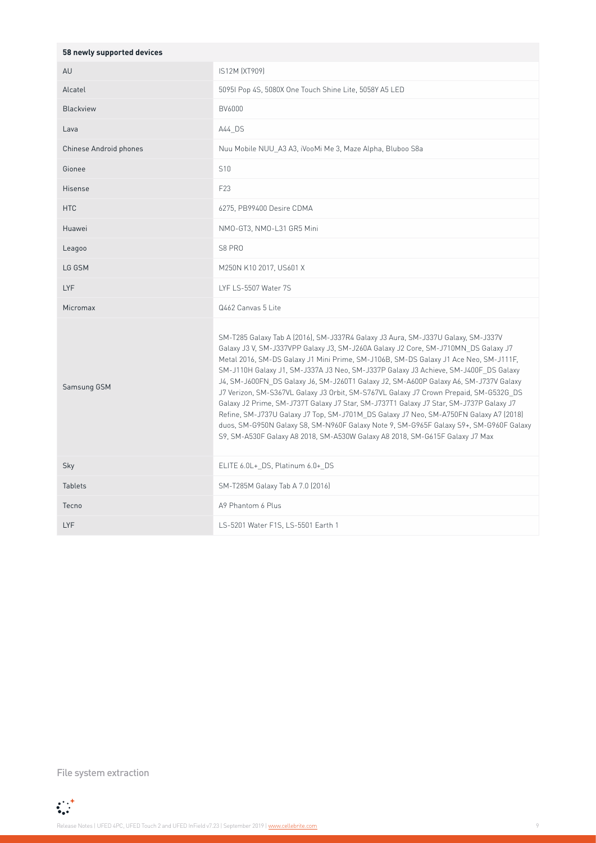| 58 newly supported devices |                                                                                                                                                                                                                                                                                                                                                                                                                                                                                                                                                                                                                                                                                                                                                                                                                                                                                                     |
|----------------------------|-----------------------------------------------------------------------------------------------------------------------------------------------------------------------------------------------------------------------------------------------------------------------------------------------------------------------------------------------------------------------------------------------------------------------------------------------------------------------------------------------------------------------------------------------------------------------------------------------------------------------------------------------------------------------------------------------------------------------------------------------------------------------------------------------------------------------------------------------------------------------------------------------------|
| AU                         | IS12M (XT909)                                                                                                                                                                                                                                                                                                                                                                                                                                                                                                                                                                                                                                                                                                                                                                                                                                                                                       |
| Alcatel                    | 5095I Pop 4S, 5080X One Touch Shine Lite, 5058Y A5 LED                                                                                                                                                                                                                                                                                                                                                                                                                                                                                                                                                                                                                                                                                                                                                                                                                                              |
| <b>Blackview</b>           | BV6000                                                                                                                                                                                                                                                                                                                                                                                                                                                                                                                                                                                                                                                                                                                                                                                                                                                                                              |
| Lava                       | A44 DS                                                                                                                                                                                                                                                                                                                                                                                                                                                                                                                                                                                                                                                                                                                                                                                                                                                                                              |
| Chinese Android phones     | Nuu Mobile NUU A3 A3, iVooMi Me 3, Maze Alpha, Bluboo S8a                                                                                                                                                                                                                                                                                                                                                                                                                                                                                                                                                                                                                                                                                                                                                                                                                                           |
| Gionee                     | S <sub>10</sub>                                                                                                                                                                                                                                                                                                                                                                                                                                                                                                                                                                                                                                                                                                                                                                                                                                                                                     |
| Hisense                    | F23                                                                                                                                                                                                                                                                                                                                                                                                                                                                                                                                                                                                                                                                                                                                                                                                                                                                                                 |
| <b>HTC</b>                 | 6275, PB99400 Desire CDMA                                                                                                                                                                                                                                                                                                                                                                                                                                                                                                                                                                                                                                                                                                                                                                                                                                                                           |
| Huawei                     | NMO-GT3, NMO-L31 GR5 Mini                                                                                                                                                                                                                                                                                                                                                                                                                                                                                                                                                                                                                                                                                                                                                                                                                                                                           |
| Leagoo                     | S8 PRO                                                                                                                                                                                                                                                                                                                                                                                                                                                                                                                                                                                                                                                                                                                                                                                                                                                                                              |
| LG GSM                     | M250N K10 2017, US601 X                                                                                                                                                                                                                                                                                                                                                                                                                                                                                                                                                                                                                                                                                                                                                                                                                                                                             |
| LYF                        | LYF LS-5507 Water 7S                                                                                                                                                                                                                                                                                                                                                                                                                                                                                                                                                                                                                                                                                                                                                                                                                                                                                |
| Micromax                   | Q462 Canvas 5 Lite                                                                                                                                                                                                                                                                                                                                                                                                                                                                                                                                                                                                                                                                                                                                                                                                                                                                                  |
| Samsung GSM                | SM-T285 Galaxy Tab A (2016), SM-J337R4 Galaxy J3 Aura, SM-J337U Galaxy, SM-J337V<br>Galaxy J3 V, SM-J337VPP Galaxy J3, SM-J260A Galaxy J2 Core, SM-J710MN_DS Galaxy J7<br>Metal 2016, SM-DS Galaxy J1 Mini Prime, SM-J106B, SM-DS Galaxy J1 Ace Neo, SM-J111F,<br>SM-J110H Galaxy J1, SM-J337A J3 Neo, SM-J337P Galaxy J3 Achieve, SM-J400F DS Galaxy<br>J4, SM-J600FN_DS Galaxy J6, SM-J260T1 Galaxy J2, SM-A600P Galaxy A6, SM-J737V Galaxy<br>J7 Verizon, SM-S367VL Galaxy J3 Orbit, SM-S767VL Galaxy J7 Crown Prepaid, SM-G532G DS<br>Galaxy J2 Prime, SM-J737T Galaxy J7 Star, SM-J737T1 Galaxy J7 Star, SM-J737P Galaxy J7<br>Refine, SM-J737U Galaxy J7 Top, SM-J701M_DS Galaxy J7 Neo, SM-A750FN Galaxy A7 (2018)<br>duos, SM-G950N Galaxy S8, SM-N960F Galaxy Note 9, SM-G965F Galaxy S9+, SM-G960F Galaxy<br>S9, SM-A530F Galaxy A8 2018, SM-A530W Galaxy A8 2018, SM-G615F Galaxy J7 Max |
| Sky                        | ELITE 6.0L+_DS, Platinum 6.0+_DS                                                                                                                                                                                                                                                                                                                                                                                                                                                                                                                                                                                                                                                                                                                                                                                                                                                                    |
| <b>Tablets</b>             | SM-T285M Galaxy Tab A 7.0 (2016)                                                                                                                                                                                                                                                                                                                                                                                                                                                                                                                                                                                                                                                                                                                                                                                                                                                                    |
| Tecno                      | A9 Phantom 6 Plus                                                                                                                                                                                                                                                                                                                                                                                                                                                                                                                                                                                                                                                                                                                                                                                                                                                                                   |
| <b>LYF</b>                 | LS-5201 Water F1S, LS-5501 Earth 1                                                                                                                                                                                                                                                                                                                                                                                                                                                                                                                                                                                                                                                                                                                                                                                                                                                                  |

File system extraction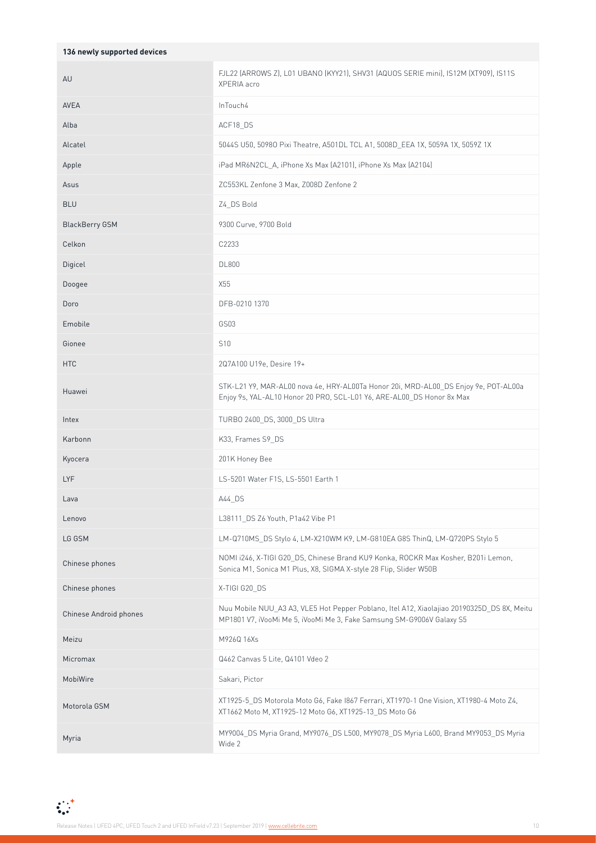| 136 newly supported devices |                                                                                                                                                                     |
|-----------------------------|---------------------------------------------------------------------------------------------------------------------------------------------------------------------|
| AU                          | FJL22 (ARROWS Z), L01 UBANO (KYY21), SHV31 (AQUOS SERIE mini), IS12M (XT909), IS11S<br>XPERIA acro                                                                  |
| AVEA                        | InTouch4                                                                                                                                                            |
| Alba                        | ACF18_DS                                                                                                                                                            |
| Alcatel                     | 5044S U50, 5098O Pixi Theatre, A501DL TCL A1, 5008D_EEA 1X, 5059A 1X, 5059Z 1X                                                                                      |
| Apple                       | iPad MR6N2CL A, iPhone Xs Max (A2101), iPhone Xs Max (A2104)                                                                                                        |
| Asus                        | ZC553KL Zenfone 3 Max, Z008D Zenfone 2                                                                                                                              |
| <b>BLU</b>                  | Z4 DS Bold                                                                                                                                                          |
| <b>BlackBerry GSM</b>       | 9300 Curve, 9700 Bold                                                                                                                                               |
| Celkon                      | C2233                                                                                                                                                               |
| Digicel                     | <b>DL800</b>                                                                                                                                                        |
| Doogee                      | X55                                                                                                                                                                 |
| Doro                        | DFB-0210 1370                                                                                                                                                       |
| Emobile                     | GS03                                                                                                                                                                |
| Gionee                      | S <sub>10</sub>                                                                                                                                                     |
| <b>HTC</b>                  | 2Q7A100 U19e, Desire 19+                                                                                                                                            |
| Huawei                      | STK-L21 Y9, MAR-AL00 nova 4e, HRY-AL00Ta Honor 20i, MRD-AL00 DS Enjoy 9e, POT-AL00a<br>Enjoy 9s, YAL-AL10 Honor 20 PRO, SCL-L01 Y6, ARE-AL00_DS Honor 8x Max        |
| Intex                       | TURBO 2400_DS, 3000_DS Ultra                                                                                                                                        |
| Karbonn                     | K33, Frames S9 DS                                                                                                                                                   |
| Kyocera                     | 201K Honey Bee                                                                                                                                                      |
| LYF                         | LS-5201 Water F1S, LS-5501 Earth 1                                                                                                                                  |
| Lava                        | A44 DS                                                                                                                                                              |
| Lenovo                      | L38111 DS Z6 Youth, P1a42 Vibe P1                                                                                                                                   |
| LG GSM                      | LM-Q710MS_DS Stylo 4, LM-X210WM K9, LM-G810EA G8S ThinQ, LM-Q720PS Stylo 5                                                                                          |
| Chinese phones              | NOMI i246, X-TIGI G20_DS, Chinese Brand KU9 Konka, ROCKR Max Kosher, B201i Lemon,<br>Sonica M1, Sonica M1 Plus, X8, SIGMA X-style 28 Flip, Slider W50B              |
| Chinese phones              | X-TIGI G20_DS                                                                                                                                                       |
| Chinese Android phones      | Nuu Mobile NUU_A3 A3, VLE5 Hot Pepper Poblano, Itel A12, Xiaolajiao 20190325D_DS 8X, Meitu<br>MP1801 V7, iVooMi Me 5, iVooMi Me 3, Fake Samsung SM-G9006V Galaxy S5 |
| Meizu                       | M926Q 16Xs                                                                                                                                                          |
| Micromax                    | Q462 Canvas 5 Lite, Q4101 Vdeo 2                                                                                                                                    |
| MobiWire                    | Sakari, Pictor                                                                                                                                                      |
| Motorola GSM                | XT1925-5_DS Motorola Moto G6, Fake I867 Ferrari, XT1970-1 One Vision, XT1980-4 Moto Z4,<br>XT1662 Moto M, XT1925-12 Moto G6, XT1925-13_DS Moto G6                   |
| Myria                       | MY9004_DS Myria Grand, MY9076_DS L500, MY9078_DS Myria L600, Brand MY9053_DS Myria<br>Wide 2                                                                        |

 $\sum_{i=1}^{n-1}$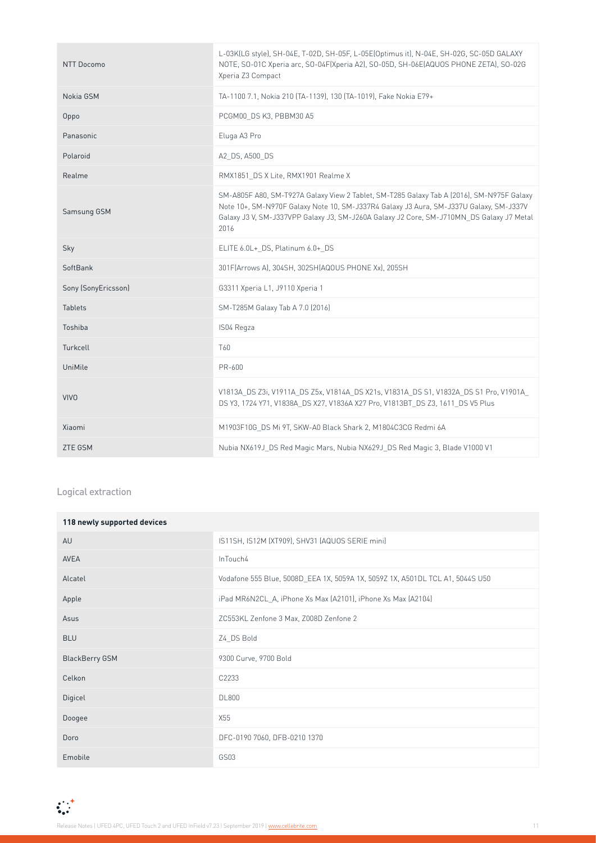| NTT Docomo          | L-03K(LG style), SH-04E, T-02D, SH-05F, L-05E(Optimus it), N-04E, SH-02G, SC-05D GALAXY<br>NOTE, SO-01C Xperia arc, SO-04F(Xperia A2), SO-05D, SH-06E(AQUOS PHONE ZETA), SO-02G<br>Xperia Z3 Compact                                                                                    |
|---------------------|-----------------------------------------------------------------------------------------------------------------------------------------------------------------------------------------------------------------------------------------------------------------------------------------|
| Nokia GSM           | TA-1100 7.1, Nokia 210 (TA-1139), 130 (TA-1019), Fake Nokia E79+                                                                                                                                                                                                                        |
| Oppo                | PCGM00 DS K3, PBBM30 A5                                                                                                                                                                                                                                                                 |
| Panasonic           | Eluga A3 Pro                                                                                                                                                                                                                                                                            |
| Polaroid            | A2 DS, A500 DS                                                                                                                                                                                                                                                                          |
| Realme              | RMX1851_DS X Lite, RMX1901 Realme X                                                                                                                                                                                                                                                     |
| Samsung GSM         | SM-A805F A80, SM-T927A Galaxy View 2 Tablet, SM-T285 Galaxy Tab A (2016), SM-N975F Galaxy<br>Note 10+, SM-N970F Galaxy Note 10, SM-J337R4 Galaxy J3 Aura, SM-J337U Galaxy, SM-J337V<br>Galaxy J3 V, SM-J337VPP Galaxy J3, SM-J260A Galaxy J2 Core, SM-J710MN DS Galaxy J7 Metal<br>2016 |
| Sky                 | ELITE 6.0L+ DS, Platinum 6.0+ DS                                                                                                                                                                                                                                                        |
| SoftBank            | 301F(Arrows A), 304SH, 302SH(AQOUS PHONE Xx), 205SH                                                                                                                                                                                                                                     |
| Sony (SonyEricsson) | G3311 Xperia L1, J9110 Xperia 1                                                                                                                                                                                                                                                         |
| <b>Tablets</b>      | SM-T285M Galaxy Tab A 7.0 (2016)                                                                                                                                                                                                                                                        |
| Toshiba             | IS04 Regza                                                                                                                                                                                                                                                                              |
| Turkcell            | T60                                                                                                                                                                                                                                                                                     |
| UniMile             | PR-600                                                                                                                                                                                                                                                                                  |
| <b>VIVO</b>         | V1813A DS Z3i, V1911A DS Z5x, V1814A DS X21s, V1831A DS S1, V1832A DS S1 Pro, V1901A<br>DS Y3, 1724 Y71, V1838A_DS X27, V1836A X27 Pro, V1813BT_DS Z3, 1611_DS V5 Plus                                                                                                                  |
| Xiaomi              | M1903F10G DS Mi 9T, SKW-A0 Black Shark 2, M1804C3CG Redmi 6A                                                                                                                                                                                                                            |
| <b>ZTE GSM</b>      | Nubia NX619J DS Red Magic Mars, Nubia NX629J DS Red Magic 3, Blade V1000 V1                                                                                                                                                                                                             |

#### Logical extraction

| 118 newly supported devices |                                                                               |
|-----------------------------|-------------------------------------------------------------------------------|
| AU                          | IS11SH, IS12M (XT909), SHV31 (AQUOS SERIE mini)                               |
| <b>AVEA</b>                 | InTouch4                                                                      |
| Alcatel                     | Vodafone 555 Blue, 5008D EEA 1X, 5059A 1X, 5059Z 1X, A501DL TCL A1, 5044S U50 |
| Apple                       | iPad MR6N2CL A, iPhone Xs Max (A2101), iPhone Xs Max (A2104)                  |
| Asus                        | ZC553KL Zenfone 3 Max, Z008D Zenfone 2                                        |
| <b>BLU</b>                  | Z4 DS Bold                                                                    |
| <b>BlackBerry GSM</b>       | 9300 Curve, 9700 Bold                                                         |
| Celkon                      | C2233                                                                         |
| Digicel                     | <b>DL800</b>                                                                  |
| Doogee                      | X55                                                                           |
| Doro                        | DFC-0190 7060, DFB-0210 1370                                                  |
| Emobile                     | GS03                                                                          |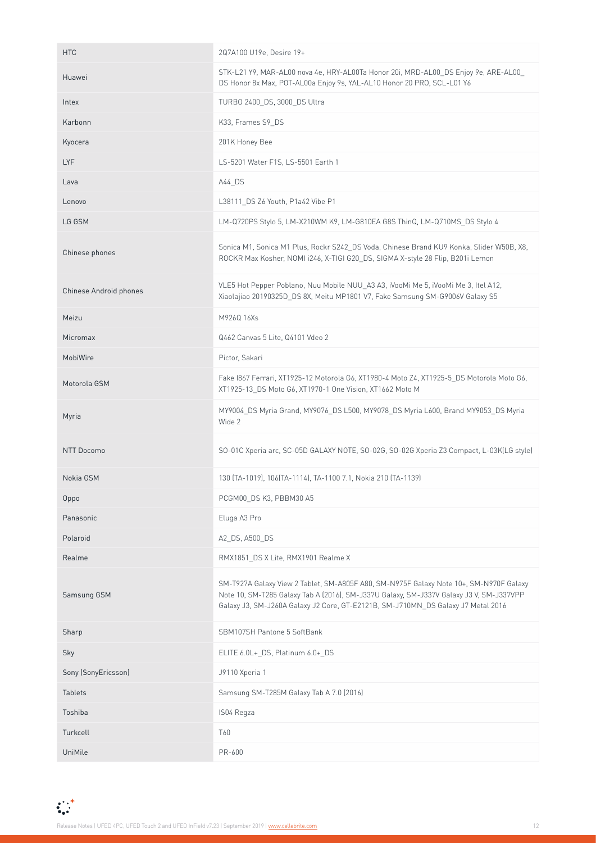| <b>HTC</b>             | 2Q7A100 U19e, Desire 19+                                                                                                                                                                                                                                              |  |
|------------------------|-----------------------------------------------------------------------------------------------------------------------------------------------------------------------------------------------------------------------------------------------------------------------|--|
| Huawei                 | STK-L21 Y9, MAR-AL00 nova 4e, HRY-AL00Ta Honor 20i, MRD-AL00_DS Enjoy 9e, ARE-AL00_<br>DS Honor 8x Max, POT-AL00a Enjoy 9s, YAL-AL10 Honor 20 PRO, SCL-L01 Y6                                                                                                         |  |
| Intex                  | TURBO 2400_DS, 3000_DS Ultra                                                                                                                                                                                                                                          |  |
| Karbonn                | K33, Frames S9 DS                                                                                                                                                                                                                                                     |  |
| Kyocera                | 201K Honey Bee                                                                                                                                                                                                                                                        |  |
| <b>LYF</b>             | LS-5201 Water F1S, LS-5501 Earth 1                                                                                                                                                                                                                                    |  |
| Lava                   | A44 DS                                                                                                                                                                                                                                                                |  |
| Lenovo                 | L38111_DS Z6 Youth, P1a42 Vibe P1                                                                                                                                                                                                                                     |  |
| LG GSM                 | LM-Q720PS Stylo 5, LM-X210WM K9, LM-G810EA G8S ThinQ, LM-Q710MS_DS Stylo 4                                                                                                                                                                                            |  |
| Chinese phones         | Sonica M1, Sonica M1 Plus, Rockr S242_DS Voda, Chinese Brand KU9 Konka, Slider W50B, X8,<br>ROCKR Max Kosher, NOMI i246, X-TIGI G20_DS, SIGMA X-style 28 Flip, B201i Lemon                                                                                            |  |
| Chinese Android phones | VLE5 Hot Pepper Poblano, Nuu Mobile NUU A3 A3, iVooMi Me 5, iVooMi Me 3, Itel A12,<br>Xiaolajiao 20190325D_DS 8X, Meitu MP1801 V7, Fake Samsung SM-G9006V Galaxy S5                                                                                                   |  |
| Meizu                  | M926Q 16Xs                                                                                                                                                                                                                                                            |  |
| Micromax               | Q462 Canvas 5 Lite, Q4101 Vdeo 2                                                                                                                                                                                                                                      |  |
| MobiWire               | Pictor, Sakari                                                                                                                                                                                                                                                        |  |
| Motorola GSM           | Fake 1867 Ferrari, XT1925-12 Motorola G6, XT1980-4 Moto Z4, XT1925-5_DS Motorola Moto G6,<br>XT1925-13_DS Moto G6, XT1970-1 One Vision, XT1662 Moto M                                                                                                                 |  |
| Myria                  | MY9004_DS Myria Grand, MY9076_DS L500, MY9078_DS Myria L600, Brand MY9053_DS Myria<br>Wide 2                                                                                                                                                                          |  |
|                        |                                                                                                                                                                                                                                                                       |  |
| NTT Docomo             | SO-01C Xperia arc, SC-05D GALAXY NOTE, SO-02G, SO-02G Xperia Z3 Compact, L-03K(LG style)                                                                                                                                                                              |  |
| Nokia GSM              | 130 (TA-1019), 106 (TA-1114), TA-1100 7.1, Nokia 210 (TA-1139)                                                                                                                                                                                                        |  |
| Oppo                   | PCGM00_DS K3, PBBM30 A5                                                                                                                                                                                                                                               |  |
| Panasonic              | Eluga A3 Pro                                                                                                                                                                                                                                                          |  |
| Polaroid               | A2_DS, A500_DS                                                                                                                                                                                                                                                        |  |
| Realme                 | RMX1851_DS X Lite, RMX1901 Realme X                                                                                                                                                                                                                                   |  |
| Samsung GSM            | SM-T927A Galaxy View 2 Tablet, SM-A805F A80, SM-N975F Galaxy Note 10+, SM-N970F Galaxy<br>Note 10, SM-T285 Galaxy Tab A (2016), SM-J337U Galaxy, SM-J337V Galaxy J3 V, SM-J337VPP<br>Galaxy J3, SM-J260A Galaxy J2 Core, GT-E2121B, SM-J710MN_DS Galaxy J7 Metal 2016 |  |
| Sharp                  | SBM107SH Pantone 5 SoftBank                                                                                                                                                                                                                                           |  |
| Sky                    | ELITE 6.0L+_DS, Platinum 6.0+_DS                                                                                                                                                                                                                                      |  |
| Sony (SonyEricsson)    | J9110 Xperia 1                                                                                                                                                                                                                                                        |  |
| Tablets                | Samsung SM-T285M Galaxy Tab A 7.0 (2016)                                                                                                                                                                                                                              |  |
| Toshiba                | IS04 Regza                                                                                                                                                                                                                                                            |  |
| Turkcell               | T60                                                                                                                                                                                                                                                                   |  |

 $\mathbf{C}^{\pm}_{\mathbf{C}}$ Release Notes | UFED 4PC, UFED Touch 2 and UFED InField v7.23 | September 2019 | [www.cellebrite.com](http://www.cellebrite.com) 12